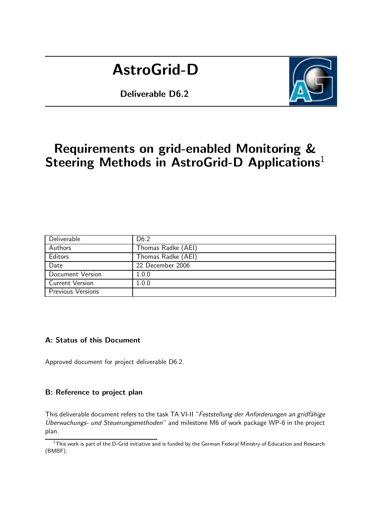# AstroGrid-D

Deliverable D6.2



# Requirements on grid-enabled Monitoring & Steering Methods in AstroGrid-D Applications<sup>1</sup>

| Deliverable              | D <sub>6.2</sub>   |
|--------------------------|--------------------|
| Authors                  | Thomas Radke (AEI) |
| Editors                  | Thomas Radke (AEI) |
| Date                     | 22 December 2006   |
| Document Version         | 1.0.0              |
| <b>Current Version</b>   | 1.0.0              |
| <b>Previous Versions</b> |                    |

## A: Status of this Document

Approved document for project deliverable D6.2.

#### B: Reference to project plan

This deliverable document refers to the task TA VI-II "Feststellung der Anforderungen an gridfähige  $Ü$ berwachungs- und Steuerungsmethoden" and milestone M6 of work package WP-6 in the project plan.

 $1$ This work is part of the D-Grid initiative and is funded by the German Federal Ministry of Education and Research (BMBF).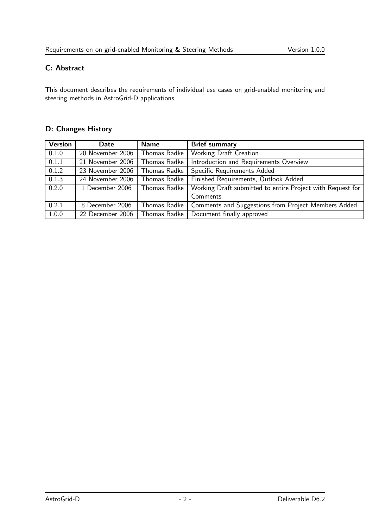# C: Abstract

This document describes the requirements of individual use cases on grid-enabled monitoring and steering methods in AstroGrid-D applications.

## D: Changes History

| Version | <b>Date</b>      | <b>Name</b>  | <b>Brief summary</b>                                               |  |
|---------|------------------|--------------|--------------------------------------------------------------------|--|
| 0.1.0   | 20 November 2006 | Thomas Radke | Working Draft Creation                                             |  |
| 0.1.1   | 21 November 2006 | Thomas Radke | Introduction and Requirements Overview                             |  |
| 0.1.2   | 23 November 2006 | Thomas Radke | Specific Requirements Added                                        |  |
| 0.1.3   | 24 November 2006 | Thomas Radke | Finished Requirements, Outlook Added                               |  |
| 0.2.0   | 1 December 2006  | Thomas Radke | Working Draft submitted to entire Project with Request for         |  |
|         |                  |              | Comments                                                           |  |
| 0.2.1   | 8 December 2006  |              | Thomas Radke   Comments and Suggestions from Project Members Added |  |
| 1.0.0   | 22 December 2006 | Thomas Radke | Document finally approved                                          |  |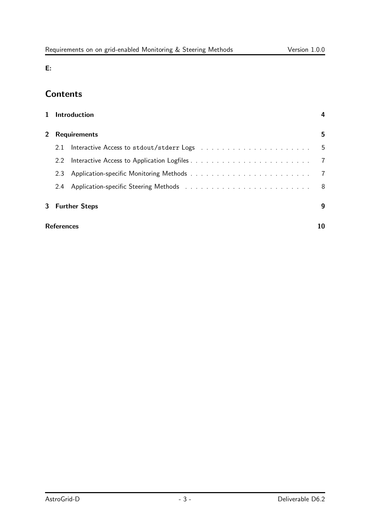E:

# **Contents**

|             |                   | 1 Introduction                                                               |     |
|-------------|-------------------|------------------------------------------------------------------------------|-----|
| $2^{\circ}$ |                   | <b>Requirements</b>                                                          | 5   |
|             | 2.1               | Interactive Access to stdout/stderr Logs resources resources in the set of 5 |     |
|             | $2.2^{\circ}$     |                                                                              |     |
|             | 2.3               |                                                                              |     |
|             |                   |                                                                              | - 8 |
|             |                   | 3 Further Steps                                                              | q   |
|             | <b>References</b> |                                                                              |     |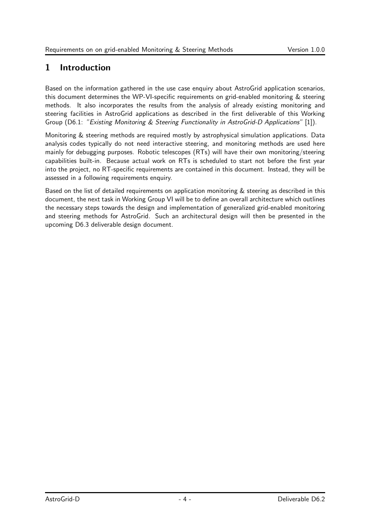# 1 Introduction

Based on the information gathered in the use case enquiry about AstroGrid application scenarios, this document determines the WP-VI-specific requirements on grid-enabled monitoring & steering methods. It also incorporates the results from the analysis of already existing monitoring and steering facilities in AstroGrid applications as described in the first deliverable of this Working Group (D6.1: "Existing Monitoring & Steering Functionality in AstroGrid-D Applications" [1]).

Monitoring & steering methods are required mostly by astrophysical simulation applications. Data analysis codes typically do not need interactive steering, and monitoring methods are used here mainly for debugging purposes. Robotic telescopes (RTs) will have their own monitoring/steering capabilities built-in. Because actual work on RTs is scheduled to start not before the first year into the project, no RT-specific requirements are contained in this document. Instead, they will be assessed in a following requirements enquiry.

Based on the list of detailed requirements on application monitoring & steering as described in this document, the next task in Working Group VI will be to define an overall architecture which outlines the necessary steps towards the design and implementation of generalized grid-enabled monitoring and steering methods for AstroGrid. Such an architectural design will then be presented in the upcoming D6.3 deliverable design document.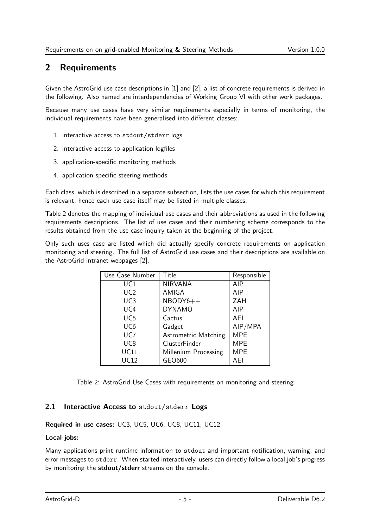# 2 Requirements

Given the AstroGrid use case descriptions in [1] and [2], a list of concrete requirements is derived in the following. Also named are interdependencies of Working Group VI with other work packages.

Because many use cases have very similar requirements especially in terms of monitoring, the individual requirements have been generalised into different classes:

- 1. interactive access to stdout/stderr logs
- 2. interactive access to application logfiles
- 3. application-specific monitoring methods
- 4. application-specific steering methods

Each class, which is described in a separate subsection, lists the use cases for which this requirement is relevant, hence each use case itself may be listed in multiple classes.

Table 2 denotes the mapping of individual use cases and their abbreviations as used in the following requirements descriptions. The list of use cases and their numbering scheme corresponds to the results obtained from the use case inquiry taken at the beginning of the project.

Only such uses case are listed which did actually specify concrete requirements on application monitoring and steering. The full list of AstroGrid use cases and their descriptions are available on the AstroGrid intranet webpages [2].

| Use Case Number | Title                       | Responsible |
|-----------------|-----------------------------|-------------|
| UC1             | <b>NIRVANA</b>              | AIP         |
| UC2             | AMIGA                       | AIP         |
| UC <sub>3</sub> | $NBODY6++$                  | ZAH         |
| UC <sub>4</sub> | <b>DYNAMO</b>               | AIP         |
| UC <sub>5</sub> | Cactus                      | AEI         |
| UC <sub>6</sub> | Gadget                      | AIP/MPA     |
| UC7             | <b>Astrometric Matching</b> | <b>MPE</b>  |
| UC <sub>8</sub> | ClusterFinder               | <b>MPE</b>  |
| UC11            | Millenium Processing        | <b>MPE</b>  |
| <b>UC12</b>     | GEO600                      | AFI         |

Table 2: AstroGrid Use Cases with requirements on monitoring and steering

#### 2.1 Interactive Access to stdout/stderr Logs

#### Required in use cases: UC3, UC5, UC6, UC8, UC11, UC12

#### Local jobs:

Many applications print runtime information to stdout and important notification, warning, and error messages to stderr. When started interactively, users can directly follow a local job's progress by monitoring the stdout/stderr streams on the console.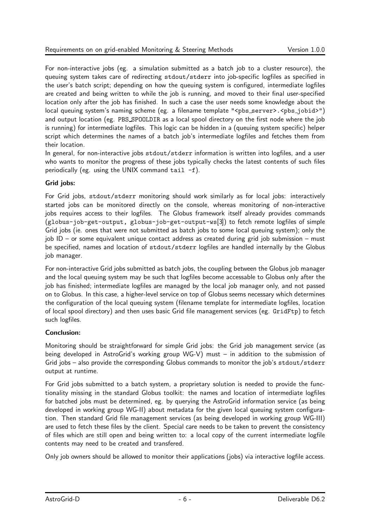For non-interactive jobs (eg. a simulation submitted as a batch job to a cluster resource), the queuing system takes care of redirecting stdout/stderr into job-specific logfiles as specified in the user's batch script; depending on how the queuing system is configured, intermediate logfiles are created and being written to while the job is running, and moved to their final user-specified location only after the job has finished. In such a case the user needs some knowledge about the local queuing system's naming scheme (eg. a filename template "<pbs server>.<pbs jobid>") and output location (eg. PBS SPOOLDIR as a local spool directory on the first node where the job is running) for intermediate logfiles. This logic can be hidden in a (queuing system specific) helper script which determines the names of a batch job's intermediate logfiles and fetches them from their location.

In general, for non-interactive jobs stdout/stderr information is written into logfiles, and a user who wants to monitor the progress of these jobs typically checks the latest contents of such files periodically (eg. using the UNIX command tail  $-f$ ).

#### Grid jobs:

For Grid jobs, stdout/stderr monitoring should work similarly as for local jobs: interactively started jobs can be monitored directly on the console, whereas monitoring of non-interactive jobs requires access to their logfiles. The Globus framework itself already provides commands (globus-job-get-output, globus-job-get-output-ws[3]) to fetch remote logfiles of simple Grid jobs (ie. ones that were not submitted as batch jobs to some local queuing system); only the job ID – or some equivalent unique contact address as created during grid job submission – must be specified, names and location of stdout/stderr logfiles are handled internally by the Globus job manager.

For non-interactive Grid jobs submitted as batch jobs, the coupling between the Globus job manager and the local queuing system may be such that logfiles become accessable to Globus only after the job has finished; intermediate logfiles are managed by the local job manager only, and not passed on to Globus. In this case, a higher-level service on top of Globus seems necessary which determines the configuration of the local queuing system (filename template for intermediate logfiles, location of local spool directory) and then uses basic Grid file management services (eg. GridFtp) to fetch such logfiles.

#### Conclusion:

Monitoring should be straightforward for simple Grid jobs: the Grid job management service (as being developed in AstroGrid's working group WG-V) must – in addition to the submission of Grid jobs – also provide the corresponding Globus commands to monitor the job's stdout/stderr output at runtime.

For Grid jobs submitted to a batch system, a proprietary solution is needed to provide the functionality missing in the standard Globus toolkit: the names and location of intermediate logfiles for batched jobs must be determined, eg. by querying the AstroGrid information service (as being developed in working group WG-II) about metadata for the given local queuing system configuration. Then standard Grid file management services (as being developed in working group WG-III) are used to fetch these files by the client. Special care needs to be taken to prevent the consistency of files which are still open and being written to: a local copy of the current intermediate logfile contents may need to be created and transfered.

Only job owners should be allowed to monitor their applications (jobs) via interactive logfile access.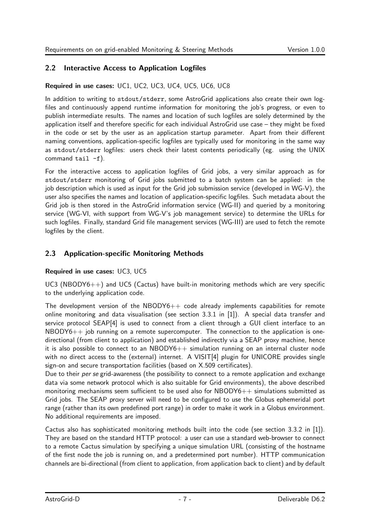## 2.2 Interactive Access to Application Logfiles

### Required in use cases: UC1, UC2, UC3, UC4, UC5, UC6, UC8

In addition to writing to stdout/stderr, some AstroGrid applications also create their own logfiles and continuously append runtime information for monitoring the job's progress, or even to publish intermediate results. The names and location of such logfiles are solely determined by the application itself and therefore specific for each individual AstroGrid use case – they might be fixed in the code or set by the user as an application startup parameter. Apart from their different naming conventions, application-specific logfiles are typically used for monitoring in the same way as stdout/stderr logfiles: users check their latest contents periodically (eg. using the UNIX command tail  $-f$ ).

For the interactive access to application logfiles of Grid jobs, a very similar approach as for stdout/stderr monitoring of Grid jobs submitted to a batch system can be applied: in the job description which is used as input for the Grid job submission service (developed in WG-V), the user also specifies the names and location of application-specific logfiles. Such metadata about the Grid job is then stored in the AstroGrid information service (WG-II) and queried by a monitoring service (WG-VI, with support from WG-V's job management service) to determine the URLs for such logfiles. Finally, standard Grid file management services (WG-III) are used to fetch the remote logfiles by the client.

## 2.3 Application-specific Monitoring Methods

#### Required in use cases: UC3, UC5

 $UC3$  (NBODY6++) and UC5 (Cactus) have built-in monitoring methods which are very specific to the underlying application code.

The development version of the  $NBODY6++$  code already implements capabilities for remote online monitoring and data visualisation (see section 3.3.1 in [1]). A special data transfer and service protocol SEAP[4] is used to connect from a client through a GUI client interface to an NBODY6++ job running on a remote supercomputer. The connection to the application is onedirectional (from client to application) and established indirectly via a SEAP proxy machine, hence it is also possible to connect to an  $NBODY6++$  simulation running on an internal cluster node with no direct access to the (external) internet. A VISIT[4] plugin for UNICORE provides single sign-on and secure transportation facilities (based on X.509 certificates).

Due to their per se grid-awareness (the possibility to connect to a remote application and exchange data via some network protocol which is also suitable for Grid environments), the above described monitoring mechanisms seem sufficient to be used also for  $NBODY6++$  simulations submitted as Grid jobs. The SEAP proxy server will need to be configured to use the Globus ephemeridal port range (rather than its own predefined port range) in order to make it work in a Globus environment. No additional requirements are imposed.

Cactus also has sophisticated monitoring methods built into the code (see section 3.3.2 in [1]). They are based on the standard HTTP protocol: a user can use a standard web-browser to connect to a remote Cactus simulation by specifying a unique simulation URL (consisting of the hostname of the first node the job is running on, and a predetermined port number). HTTP communication channels are bi-directional (from client to application, from application back to client) and by default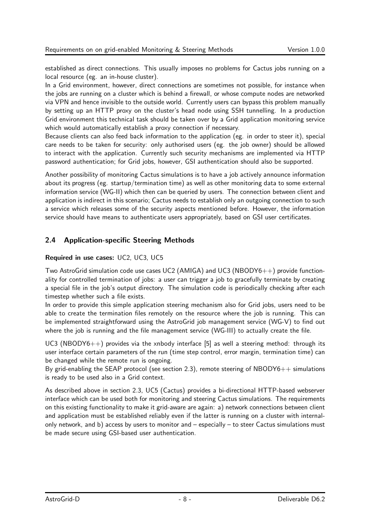established as direct connections. This usually imposes no problems for Cactus jobs running on a local resource (eg. an in-house cluster).

In a Grid environment, however, direct connections are sometimes not possible, for instance when the jobs are running on a cluster which is behind a firewall, or whose compute nodes are networked via VPN and hence invisible to the outside world. Currently users can bypass this problem manually by setting up an HTTP proxy on the cluster's head node using SSH tunnelling. In a production Grid environment this technical task should be taken over by a Grid application monitoring service which would automatically establish a proxy connection if necessary.

Because clients can also feed back information to the application (eg. in order to steer it), special care needs to be taken for security: only authorised users (eg. the job owner) should be allowed to interact with the application. Currently such security mechanisms are implemented via HTTP password authentication; for Grid jobs, however, GSI authentication should also be supported.

Another possibility of monitoring Cactus simulations is to have a job actively announce information about its progress (eg. startup/termination time) as well as other monitoring data to some external information service (WG-II) which then can be queried by users. The connection between client and application is indirect in this scenario; Cactus needs to establish only an outgoing connection to such a service which releases some of the security aspects mentioned before. However, the information service should have means to authenticate users appropriately, based on GSI user certificates.

# 2.4 Application-specific Steering Methods

#### Required in use cases: UC2, UC3, UC5

Two AstroGrid simulation code use cases UC2 (AMIGA) and UC3 (NBODY6++) provide functionality for controlled termination of jobs: a user can trigger a job to gracefully terminate by creating a special file in the job's output directory. The simulation code is periodically checking after each timestep whether such a file exists.

In order to provide this simple application steering mechanism also for Grid jobs, users need to be able to create the termination files remotely on the resource where the job is running. This can be implemented straightforward using the AstroGrid job management service (WG-V) to find out where the job is running and the file management service (WG-III) to actually create the file.

UC3 (NBODY6++) provides via the xnbody interface [5] as well a steering method: through its user interface certain parameters of the run (time step control, error margin, termination time) can be changed while the remote run is ongoing.

By grid-enabling the SEAP protocol (see section 2.3), remote steering of  $NBODY6++$  simulations is ready to be used also in a Grid context.

As described above in section 2.3, UC5 (Cactus) provides a bi-directional HTTP-based webserver interface which can be used both for monitoring and steering Cactus simulations. The requirements on this existing functionality to make it grid-aware are again: a) network connections between client and application must be established reliably even if the latter is running on a cluster with internalonly network, and b) access by users to monitor and – especially – to steer Cactus simulations must be made secure using GSI-based user authentication.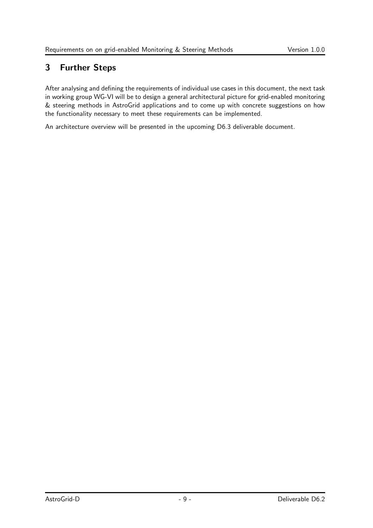# 3 Further Steps

After analysing and defining the requirements of individual use cases in this document, the next task in working group WG-VI will be to design a general architectural picture for grid-enabled monitoring & steering methods in AstroGrid applications and to come up with concrete suggestions on how the functionality necessary to meet these requirements can be implemented.

An architecture overview will be presented in the upcoming D6.3 deliverable document.